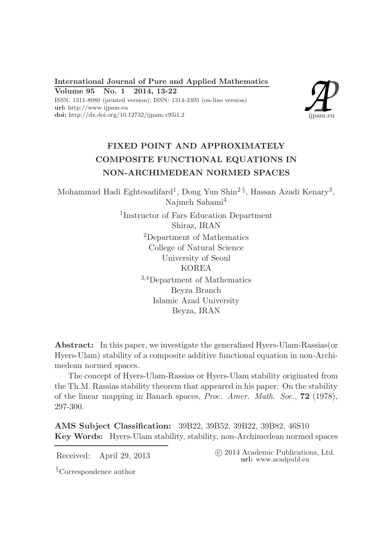International Journal of Pure and Applied Mathematics

Volume 95 No. 1 2014, 13-22

ISSN: 1311-8080 (printed version); ISSN: 1314-3395 (on-line version) url: http://www.ijpam.eu doi: http://dx.doi.org/10.12732/ijpam.v95i1.2



# FIXED POINT AND APPROXIMATELY COMPOSITE FUNCTIONAL EQUATIONS IN NON-ARCHIMEDEAN NORMED SPACES

Mohammad Hadi Eghtesadifard<sup>1</sup>, Dong Yun Shin<sup>2§</sup>, Hassan Azadi Kenary<sup>3</sup>, Najmeh Sahami<sup>4</sup>

> 1 Instructor of Fars Education Department Shiraz, IRAN <sup>2</sup>Department of Mathematics College of Natural Science University of Seoul KOREA <sup>3</sup>,4Department of Mathematics Beyza Branch Islamic Azad University Beyza, IRAN

Abstract: In this paper, we investigate the generalized Hyers-Ulam-Rassias(or Hyers-Ulam) stability of a composite additive functional equation in non-Archimedean normed spaces.

The concept of Hyers-Ulam-Rassias or Hyers-Ulam stability originated from the Th.M. Rassias stability theorem that appeared in his paper: On the stability of the linear mapping in Banach spaces, Proc. Amer. Math. Soc., 72 (1978), 297-300.

AMS Subject Classification: 39B22, 39B52, 39B22, 39B82, 46S10 Key Words: Hyers-Ulam stability, stability, non-Archimedean normed spaces

Received: April 29, 2013 <sup>c</sup> 2014 Academic Publications, Ltd. url: www.acadpubl.eu

§Correspondence author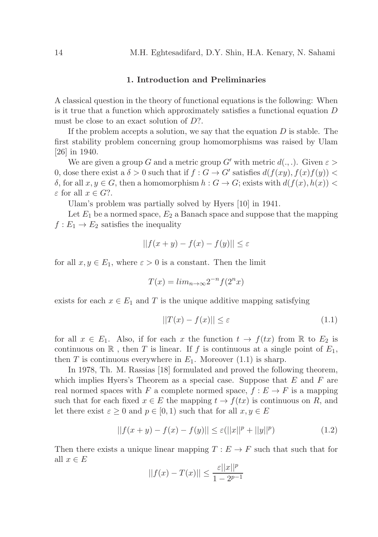## 1. Introduction and Preliminaries

A classical question in the theory of functional equations is the following: When is it true that a function which approximately satisfies a functional equation D must be close to an exact solution of  $D$ ?.

If the problem accepts a solution, we say that the equation  $D$  is stable. The first stability problem concerning group homomorphisms was raised by Ulam [26] in 1940.

We are given a group G and a metric group G' with metric  $d(.,.)$ . Given  $\varepsilon >$ 0, dose there exist a  $\delta > 0$  such that if  $f : G \to G'$  satisfies  $d(f(xy), f(x)f(y))$  < δ, for all  $x, y ∈ G$ , then a homomorphism  $h : G \to G$ ; exists with  $d(f(x), h(x)) <$  $\varepsilon$  for all  $x \in G$ ?.

Ulam's problem was partially solved by Hyers [10] in 1941.

Let  $E_1$  be a normed space,  $E_2$  a Banach space and suppose that the mapping  $f: E_1 \to E_2$  satisfies the inequality

$$
||f(x + y) - f(x) - f(y)|| \le \varepsilon
$$

for all  $x, y \in E_1$ , where  $\varepsilon > 0$  is a constant. Then the limit

$$
T(x) = \lim_{n \to \infty} 2^{-n} f(2^n x)
$$

exists for each  $x \in E_1$  and T is the unique additive mapping satisfying

$$
||T(x) - f(x)|| \le \varepsilon \tag{1.1}
$$

for all  $x \in E_1$ . Also, if for each x the function  $t \to f(tx)$  from R to  $E_2$  is continuous on  $\mathbb R$ , then T is linear. If f is continuous at a single point of  $E_1$ , then T is continuous everywhere in  $E_1$ . Moreover (1.1) is sharp.

In 1978, Th. M. Rassias [18] formulated and proved the following theorem, which implies Hyers's Theorem as a special case. Suppose that  $E$  and  $F$  are real normed spaces with F a complete normed space,  $f : E \to F$  is a mapping such that for each fixed  $x \in E$  the mapping  $t \to f(tx)$  is continuous on R, and let there exist  $\varepsilon \geq 0$  and  $p \in [0,1)$  such that for all  $x, y \in E$ 

$$
||f(x + y) - f(x) - f(y)|| \le \varepsilon (||x||^{p} + ||y||^{p})
$$
\n(1.2)

Then there exists a unique linear mapping  $T : E \to F$  such that such that for all  $x \in E$ 

$$
||f(x) - T(x)|| \le \frac{\varepsilon ||x||^p}{1 - 2^{p-1}}
$$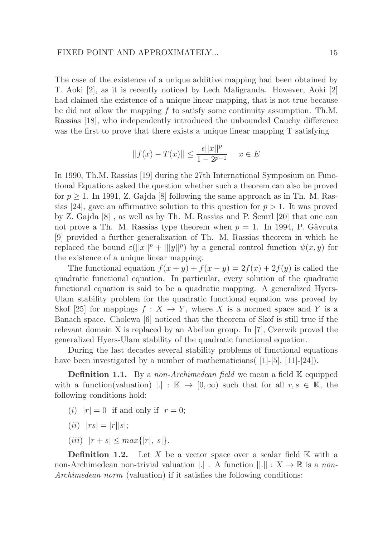The case of the existence of a unique additive mapping had been obtained by T. Aoki [2], as it is recently noticed by Lech Maligranda. However, Aoki [2] had claimed the existence of a unique linear mapping, that is not true because he did not allow the mapping f to satisfy some continuity assumption. Th.M. Rassias [18], who independently introduced the unbounded Cauchy difference was the first to prove that there exists a unique linear mapping T satisfying

$$
||f(x) - T(x)|| \le \frac{\epsilon ||x||^p}{1 - 2^{p-1}} \quad x \in E
$$

In 1990, Th.M. Rassias [19] during the 27th International Symposium on Functional Equations asked the question whether such a theorem can also be proved for  $p \geq 1$ . In 1991, Z. Gajda [8] following the same approach as in Th. M. Rassias [24], gave an affirmative solution to this question for  $p > 1$ . It was proved by Z. Gajda  $[8]$ , as well as by Th. M. Rassias and P. Semrl  $[20]$  that one can not prove a Th. M. Rassias type theorem when  $p = 1$ . In 1994, P. Gǎvruta [9] provided a further generalization of Th. M. Rassias theorem in which he replaced the bound  $\varepsilon(||x||^p + |||y||^p)$  by a general control function  $\psi(x, y)$  for the existence of a unique linear mapping.

The functional equation  $f(x + y) + f(x - y) = 2f(x) + 2f(y)$  is called the quadratic functional equation. In particular, every solution of the quadratic functional equation is said to be a quadratic mapping. A generalized Hyers-Ulam stability problem for the quadratic functional equation was proved by Skof [25] for mappings  $f: X \to Y$ , where X is a normed space and Y is a Banach space. Cholewa [6] noticed that the theorem of Skof is still true if the relevant domain X is replaced by an Abelian group. In [7], Czerwik proved the generalized Hyers-Ulam stability of the quadratic functional equation.

During the last decades several stability problems of functional equations have been investigated by a number of mathematicians  $(1[-5], [11]-[24])$ .

**Definition 1.1.** By a non-Archimedean field we mean a field  $\mathbb{K}$  equipped with a function(valuation)  $|.| : \mathbb{K} \to [0,\infty)$  such that for all  $r, s \in \mathbb{K}$ , the following conditions hold:

- (i)  $|r| = 0$  if and only if  $r = 0$ ;
- (*ii*)  $|rs| = |r||s|$ ;
- (*iii*)  $|r + s| \leq max\{|r|, |s|\}.$

**Definition 1.2.** Let X be a vector space over a scalar field  $K$  with a non-Archimedean non-trivial valuation  $|.|$ . A function  $||.|| : X \to \mathbb{R}$  is a non-Archimedean norm (valuation) if it satisfies the following conditions: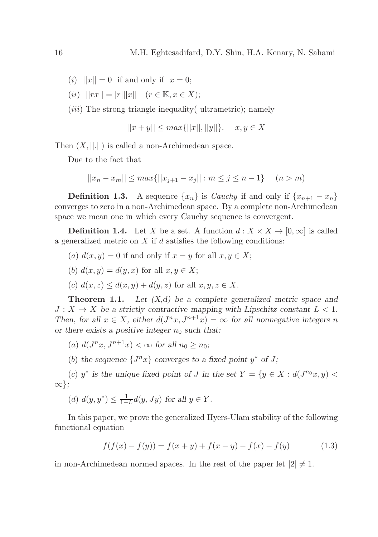- (i)  $||x|| = 0$  if and only if  $x = 0$ ;
- (*ii*)  $||rx|| = |r|| ||x||$   $(r \in \mathbb{K}, x \in X);$

 $(iii)$  The strong triangle inequality ultrametric); namely

$$
||x + y|| \le \max{||x||, ||y||}. \quad x, y \in X
$$

Then  $(X, ||.||)$  is called a non-Archimedean space.

Due to the fact that

$$
||x_n - x_m|| \le \max\{||x_{j+1} - x_j|| : m \le j \le n - 1\} \quad (n > m)
$$

**Definition 1.3.** A sequence  $\{x_n\}$  is *Cauchy* if and only if  $\{x_{n+1} - x_n\}$ converges to zero in a non-Archimedean space. By a complete non-Archimedean space we mean one in which every Cauchy sequence is convergent.

**Definition 1.4.** Let X be a set. A function  $d : X \times X \to [0,\infty]$  is called a generalized metric on  $X$  if  $d$  satisfies the following conditions:

(a)  $d(x, y) = 0$  if and only if  $x = y$  for all  $x, y \in X$ ;

(b) 
$$
d(x, y) = d(y, x)
$$
 for all  $x, y \in X$ ;

(c)  $d(x, z) \leq d(x, y) + d(y, z)$  for all  $x, y, z \in X$ .

**Theorem 1.1.** Let  $(X,d)$  be a complete generalized metric space and  $J: X \to X$  be a strictly contractive mapping with Lipschitz constant  $L < 1$ . Then, for all  $x \in X$ , either  $d(J^n x, J^{n+1} x) = \infty$  for all nonnegative integers n or there exists a positive integer  $n_0$  such that:

(a)  $d(J^n x, J^{n+1} x) < \infty$  for all  $n_0 \ge n_0$ ;

(b) the sequence  $\{J^n x\}$  converges to a fixed point  $y^*$  of J;

(c)  $y^*$  is the unique fixed point of J in the set  $Y = \{y \in X : d(J^{n_0}x, y)$ ∞};

(d) 
$$
d(y, y^*) \le \frac{1}{1-L}d(y, Jy)
$$
 for all  $y \in Y$ .

In this paper, we prove the generalized Hyers-Ulam stability of the following functional equation

$$
f(f(x) - f(y)) = f(x + y) + f(x - y) - f(x) - f(y)
$$
\n(1.3)

in non-Archimedean normed spaces. In the rest of the paper let  $|2| \neq 1$ .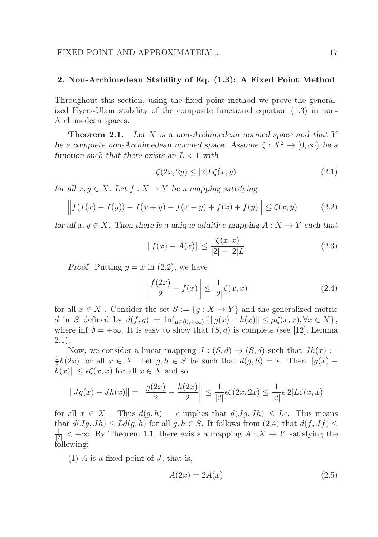## 2. Non-Archimedean Stability of Eq. (1.3): A Fixed Point Method

Throughout this section, using the fixed point method we prove the generalized Hyers-Ulam stability of the composite functional equation (1.3) in non-Archimedean spaces.

**Theorem 2.1.** Let X is a non-Archimedean normed space and that Y be a complete non-Archimedean normed space. Assume  $\zeta : X^2 \to [0, \infty)$  be a function such that there exists an  $L < 1$  with

$$
\zeta(2x, 2y) \le |2|L\zeta(x, y) \tag{2.1}
$$

for all  $x, y \in X$ . Let  $f : X \to Y$  be a mapping satisfying

$$
\left\| f(f(x) - f(y)) - f(x + y) - f(x - y) + f(x) + f(y) \right\| \le \zeta(x, y) \tag{2.2}
$$

for all  $x, y \in X$ . Then there is a unique additive mapping  $A: X \to Y$  such that

$$
||f(x) - A(x)|| \le \frac{\zeta(x, x)}{|2| - |2|L}
$$
 (2.3)

Proof. Putting  $y = x$  in (2.2), we have

$$
\left\| \frac{f(2x)}{2} - f(x) \right\| \le \frac{1}{|2|} \zeta(x, x)
$$
 (2.4)

for all  $x \in X$ . Consider the set  $S := \{g : X \to Y\}$  and the generalized metric d in S defined by  $d(f, g) = \inf_{\mu \in (0, +\infty)} \{||g(x) - h(x)|| \leq \mu \zeta(x, x), \forall x \in X\},\$ where inf  $\emptyset = +\infty$ . It is easy to show that  $(S, d)$  is complete (see [12], Lemma 2.1).

Now, we consider a linear mapping  $J : (S, d) \to (S, d)$  such that  $Jh(x) :=$ 1  $\frac{1}{2}h(2x)$  for all  $x \in X$ . Let  $g, h \in S$  be such that  $d(g, h) = \epsilon$ . Then  $||g(x) |h(x)|| \leq \epsilon \zeta(x, x)$  for all  $x \in X$  and so

$$
||Jg(x) - Jh(x)|| = \left\| \frac{g(2x)}{2} - \frac{h(2x)}{2} \right\| \le \frac{1}{|2|} \epsilon \zeta(2x, 2x) \le \frac{1}{|2|} \epsilon |2| L\zeta(x, x)
$$

for all  $x \in X$ . Thus  $d(g, h) = \epsilon$  implies that  $d(Jg, Jh) \leq L\epsilon$ . This means that  $d(Jg, Jh) \le Ld(g, h)$  for all  $g, h \in S$ . It follows from  $(2.4)$  that  $d(f, Jf) \le$  $\frac{1}{|2|}$  < + $\infty$ . By Theorem 1.1, there exists a mapping  $A: X \to Y$  satisfying the following:

(1)  $\tilde{A}$  is a fixed point of  $J$ , that is,

$$
A(2x) = 2A(x) \tag{2.5}
$$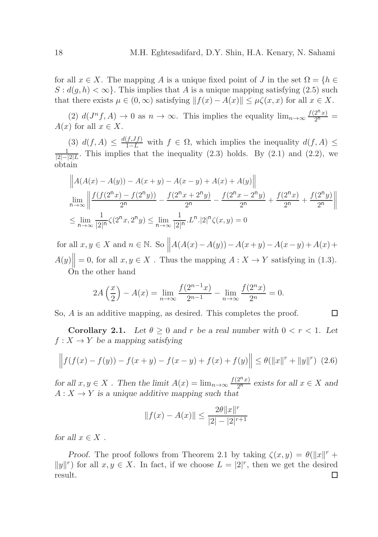for all  $x \in X$ . The mapping A is a unique fixed point of J in the set  $\Omega = \{h \in$  $S : d(q, h) < \infty$ . This implies that A is a unique mapping satisfying (2.5) such that there exists  $\mu \in (0,\infty)$  satisfying  $|| f(x) - A(x)|| \leq \mu \zeta(x,x)$  for all  $x \in X$ .

(2)  $d(J^n f, A) \to 0$  as  $n \to \infty$ . This implies the equality  $\lim_{n \to \infty} \frac{f(2^n x)}{2^n}$  $A(x)$  for all  $x \in X$ .

(3)  $d(f, A) \leq \frac{d(f, Jf)}{1 - L}$  with  $f \in \Omega$ , which implies the inequality  $d(f, A) \leq \frac{1}{1 - L}$  This implies that the inequality (2.3) holds. By (2.1) and (2.2) we  $\frac{1}{|2|-|2|L}$ . This implies that the inequality (2.3) holds. By (2.1) and (2.2), we obtain

$$
\left\| A(A(x) - A(y)) - A(x + y) - A(x - y) + A(x) + A(y) \right\|
$$
  
\n
$$
\lim_{n \to \infty} \left\| \frac{f(f(2^nx) - f(2^ny))}{2^n} - \frac{f(2^nx + 2^ny)}{2^n} - \frac{f(2^nx - 2^ny)}{2^n} + \frac{f(2^nx)}{2^n} + \frac{f(2^ny)}{2^n} \right\|
$$
  
\n
$$
\leq \lim_{n \to \infty} \frac{1}{|2|^n} \zeta(2^nx, 2^ny) \leq \lim_{n \to \infty} \frac{1}{|2|^n} L^n \cdot |2|^n \zeta(x, y) = 0
$$

for all  $x, y \in X$  and  $n \in \mathbb{N}$ . So  $\parallel$  $A(A(x)-A(y))-A(x+y)-A(x-y)+A(x)+$  $A(y)$  $= 0$ , for all  $x, y \in X$ . Thus the mapping  $A: X \to Y$  satisfying in (1.3). On the other hand

$$
2A\left(\frac{x}{2}\right) - A(x) = \lim_{n \to \infty} \frac{f(2^{n-1}x)}{2^{n-1}} - \lim_{n \to \infty} \frac{f(2^nx)}{2^n} = 0.
$$

So, A is an additive mapping, as desired. This completes the proof.

Corollary 2.1. Let  $\theta \geq 0$  and r be a real number with  $0 < r < 1$ . Let  $f: X \to Y$  be a mapping satisfying

口

$$
\left\| f(f(x) - f(y)) - f(x + y) - f(x - y) + f(x) + f(y) \right\| \le \theta(\|x\|^r + \|y\|^r) \tag{2.6}
$$

for all  $x, y \in X$ . Then the limit  $A(x) = \lim_{n \to \infty} \frac{f(2^{n}x)}{2^{n}}$  exists for all  $x \in X$  and  $A: X \to Y$  is a unique additive mapping such that

$$
||f(x) - A(x)|| \le \frac{2\theta ||x||^r}{|2| - |2|^{r+1}}
$$

for all  $x \in X$ .

Proof. The proof follows from Theorem 2.1 by taking  $\zeta(x,y) = \theta(||x||^r +$  $||y||^r$  for all  $x, y \in X$ . In fact, if we choose  $L = |2|^r$ , then we get the desired result. $\Box$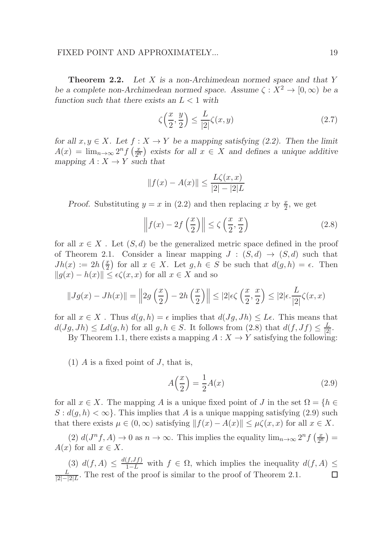**Theorem 2.2.** Let X is a non-Archimedean normed space and that Y be a complete non-Archimedean normed space. Assume  $\zeta : X^2 \to [0, \infty)$  be a function such that there exists an  $L < 1$  with

$$
\zeta\left(\frac{x}{2},\frac{y}{2}\right) \le \frac{L}{|2|}\zeta(x,y) \tag{2.7}
$$

for all  $x, y \in X$ . Let  $f : X \to Y$  be a mapping satisfying (2.2). Then the limit  $A(x) = \lim_{n \to \infty} 2^n f\left(\frac{x}{2^n}\right)$  exists for all  $x \in X$  and defines a unique additive mapping  $A: X \to Y$  such that

$$
||f(x) - A(x)|| \le \frac{L\zeta(x, x)}{|2| - |2|L}
$$

Proof. Substituting  $y = x$  in (2.2) and then replacing x by  $\frac{x}{2}$ , we get

$$
\left\| f(x) - 2f\left(\frac{x}{2}\right) \right\| \le \zeta\left(\frac{x}{2}, \frac{x}{2}\right) \tag{2.8}
$$

for all  $x \in X$ . Let  $(S, d)$  be the generalized metric space defined in the proof of Theorem 2.1. Consider a linear mapping  $J : (S, d) \rightarrow (S, d)$  such that  $Jh(x) := 2h\left(\frac{x}{2}\right)$  $\frac{x}{2}$  for all  $x \in X$ . Let  $g, h \in S$  be such that  $d(g, h) = \epsilon$ . Then  $||g(x) - h(x)|| \leq \epsilon \zeta(x, x)$  for all  $x \in X$  and so

$$
||Jg(x) - Jh(x)|| = \left||2g\left(\frac{x}{2}\right) - 2h\left(\frac{x}{2}\right)\right|| \le |2|\epsilon\zeta\left(\frac{x}{2}, \frac{x}{2}\right) \le |2|\epsilon \cdot \frac{L}{|2|}\zeta(x, x)
$$

for all  $x \in X$ . Thus  $d(g, h) = \epsilon$  implies that  $d(Jg, Jh) \leq L\epsilon$ . This means that  $d(Jg, Jh) \le Ld(g, h)$  for all  $g, h \in S$ . It follows from  $(2.8)$  that  $d(f, Jf) \le \frac{L}{2}$  $\frac{L}{|2|}$ .

By Theorem 1.1, there exists a mapping  $A: X \to Y$  satisfying the following:

 $(1)$  A is a fixed point of J, that is,

$$
A\left(\frac{x}{2}\right) = \frac{1}{2}A(x) \tag{2.9}
$$

for all  $x \in X$ . The mapping A is a unique fixed point of J in the set  $\Omega = \{h \in$  $S: d(g, h) < \infty$ . This implies that A is a unique mapping satisfying (2.9) such that there exists  $\mu \in (0,\infty)$  satisfying  $|| f(x) - A(x)|| \leq \mu \zeta(x,x)$  for all  $x \in X$ .

(2)  $d(J^n f, A) \to 0$  as  $n \to \infty$ . This implies the equality  $\lim_{n \to \infty} 2^n f(\frac{x}{2^n}) =$  $A(x)$  for all  $x \in X$ .

(3)  $d(f, A) \leq \frac{d(f, Jf)}{1 - L}$  with  $f \in \Omega$ , which implies the inequality  $d(f, A) \leq$ L  $\frac{L}{|2|-|2|L}$ . The rest of the proof is similar to the proof of Theorem 2.1.  $\Box$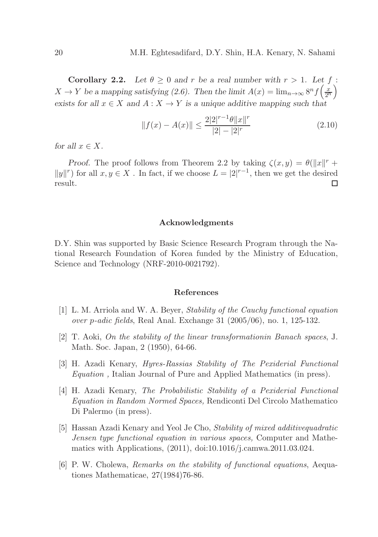**Corollary 2.2.** Let  $\theta \geq 0$  and r be a real number with  $r > 1$ . Let  $f$ :  $X \to Y$  be a mapping satisfying (2.6). Then the limit  $A(x) = \lim_{n \to \infty} 8^n f\left(\frac{x}{2^n}\right)$ exists for all  $x \in X$  and  $A: X \to Y$  is a unique additive mapping such that

$$
||f(x) - A(x)|| \le \frac{2|2|^{r-1}\theta||x||^r}{|2| - |2|^r}
$$
\n(2.10)

for all  $x \in X$ .

Proof. The proof follows from Theorem 2.2 by taking  $\zeta(x,y) = \theta(||x||^r +$  $||y||<sup>r</sup>$  for all  $x, y \in X$ . In fact, if we choose  $L = |2|^{r-1}$ , then we get the desired  $\Box$ result.

### Acknowledgments

D.Y. Shin was supported by Basic Science Research Program through the National Research Foundation of Korea funded by the Ministry of Education, Science and Technology (NRF-2010-0021792).

### References

- [1] L. M. Arriola and W. A. Beyer, Stability of the Cauchy functional equation over p-adic fields, Real Anal. Exchange 31 (2005/06), no. 1, 125-132.
- [2] T. Aoki, On the stability of the linear transformationin Banach spaces, J. Math. Soc. Japan, 2 (1950), 64-66.
- [3] H. Azadi Kenary, Hyres-Rassias Stability of The Pexiderial Functional Equation , Italian Journal of Pure and Applied Mathematics (in press).
- [4] H. Azadi Kenary, The Probabilistic Stability of a Pexiderial Functional Equation in Random Normed Spaces, Rendiconti Del Circolo Mathematico Di Palermo (in press).
- [5] Hassan Azadi Kenary and Yeol Je Cho, Stability of mixed additivequadratic Jensen type functional equation in various spaces, Computer and Mathematics with Applications, (2011), doi:10.1016/j.camwa.2011.03.024.
- [6] P. W. Cholewa, Remarks on the stability of functional equations, Aequationes Mathematicae, 27(1984)76-86.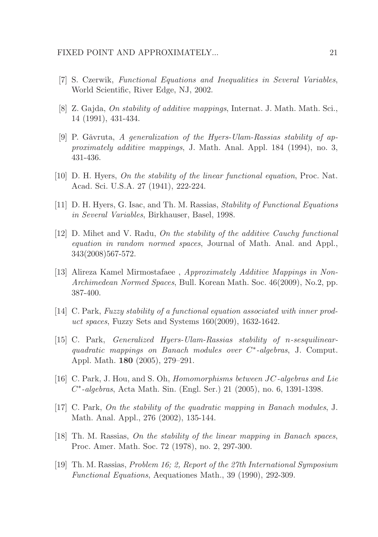- [7] S. Czerwik, Functional Equations and Inequalities in Several Variables, World Scientific, River Edge, NJ, 2002.
- [8] Z. Gajda, On stability of additive mappings, Internat. J. Math. Math. Sci., 14 (1991), 431-434.
- [9] P. Găvruta, A generalization of the Hyers-Ulam-Rassias stability of approximately additive mappings, J. Math. Anal. Appl. 184 (1994), no. 3, 431-436.
- [10] D. H. Hyers, On the stability of the linear functional equation, Proc. Nat. Acad. Sci. U.S.A. 27 (1941), 222-224.
- [11] D. H. Hyers, G. Isac, and Th. M. Rassias, Stability of Functional Equations in Several Variables, Birkhauser, Basel, 1998.
- [12] D. Mihet and V. Radu, On the stability of the additive Cauchy functional equation in random normed spaces, Journal of Math. Anal. and Appl., 343(2008)567-572.
- [13] Alireza Kamel Mirmostafaee , Approximately Additive Mappings in Non-Archimedean Normed Spaces, Bull. Korean Math. Soc. 46(2009), No.2, pp. 387-400.
- [14] C. Park, Fuzzy stability of a functional equation associated with inner product spaces, Fuzzy Sets and Systems 160(2009), 1632-1642.
- [15] C. Park, Generalized Hyers-Ulam-Rassias stability of n-sesquilinearquadratic mappings on Banach modules over C<sup>\*</sup>-algebras, J. Comput. Appl. Math. 180 (2005), 279–291.
- [16] C. Park, J. Hou, and S. Oh, Homomorphisms between JC-algebras and Lie C ∗ -algebras, Acta Math. Sin. (Engl. Ser.) 21 (2005), no. 6, 1391-1398.
- $[17]$  C. Park, On the stability of the quadratic mapping in Banach modules, J. Math. Anal. Appl., 276 (2002), 135-144.
- [18] Th. M. Rassias, On the stability of the linear mapping in Banach spaces, Proc. Amer. Math. Soc. 72 (1978), no. 2, 297-300.
- [19] Th. M. Rassias, Problem 16; 2, Report of the 27th International Symposium Functional Equations, Aequationes Math., 39 (1990), 292-309.